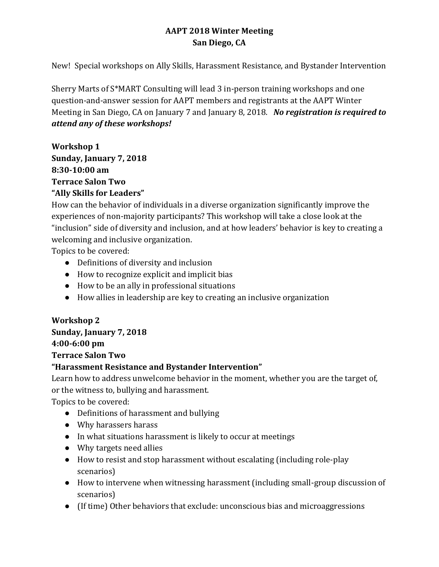## **AAPT 2018 Winter Meeting San Diego, CA**

New! Special workshops on Ally Skills, Harassment Resistance, and Bystander Intervention

Sherry Marts of S\*MART Consulting will lead 3 in-person training workshops and one question-and-answer session for AAPT members and registrants at the AAPT Winter Meeting in San Diego, CA on January 7 and January 8, 2018. *No registration is required to attend any of these workshops!*

**Workshop 1 Sunday, January 7, 2018 8:30-10:00 am Terrace Salon Two "Ally Skills for Leaders"**

How can the behavior of individuals in a diverse organization significantly improve the experiences of non-majority participants? This workshop will take a close look at the "inclusion" side of diversity and inclusion, and at how leaders' behavior is key to creating a welcoming and inclusive organization.

Topics to be covered:

- Definitions of diversity and inclusion
- How to recognize explicit and implicit bias
- How to be an ally in professional situations
- How allies in leadership are key to creating an inclusive organization

## **Workshop 2 Sunday, January 7, 2018 4:00-6:00 pm Terrace Salon Two**

## **"Harassment Resistance and Bystander Intervention"**

Learn how to address unwelcome behavior in the moment, whether you are the target of, or the witness to, bullying and harassment.

Topics to be covered:

- Definitions of harassment and bullying
- Why harassers harass
- In what situations harassment is likely to occur at meetings
- Why targets need allies
- How to resist and stop harassment without escalating (including role-play scenarios)
- How to intervene when witnessing harassment (including small-group discussion of scenarios)
- (If time) Other behaviors that exclude: unconscious bias and microaggressions